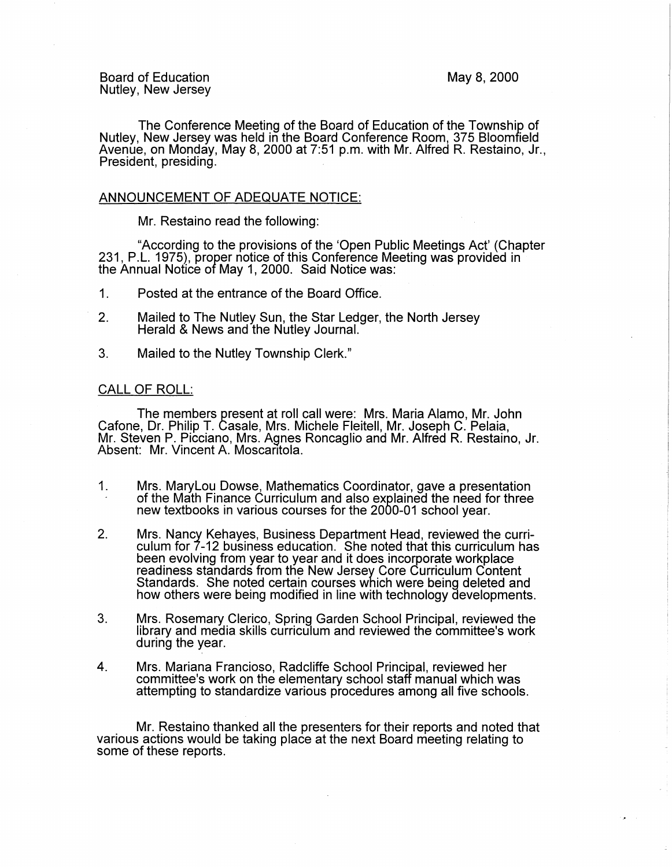The Conference Meeting of the Board of Education of the Township of Nutley, New Jersey was held in the Board Conference Room, 375 Bloomfield Avenue, on Monday, May 8, 2000 at 7:51 p.m. with Mr. Alfred R. Restaino, Jr., President, presiding.

## ANNOUNCEMENT OF ADEQUATE NOTICE:

Mr. Restaino read the following:

"According to the provisions of the 'Open Public Meetings Act' (Chapter 231, P.L. 1975), proper notice of this Conference Meeting was provided in the Annual Notice of May 1, 2000. Said Notice was:

- 1. Posted at the entrance of the Board Office.
- 2. Mailed to The Nutley Sun, the Star Ledger, the North Jersey Herald & News and the Nutley Journal.
- 3. Mailed to the Nutley Township Clerk."

## CALL OF ROLL:

The members present at roll call were: Mrs. Maria Alamo, Mr. John Catone, Dr. Philip T. Casale, Mrs. Michele Fleitell, Mr. Joseph C. Pelaia, Mr. Steven P. Picciano, Mrs. Agnes Roncaglio and Mr. Alfred R. Restaino, Jr. Absent: Mr. Vincent A. Moscaritola.

- 1. Mrs. Marylou Dowse, Mathematics Coordinator, gave a presentation of the Math Finance Curriculum and also explained the need for three new textbooks in various courses for the 2000-01 school year.
- 2. Mrs. Nancy Kehayes, Business Department Head, reviewed the curriculum for 7-12 business education. She noted that this curriculum has been evolving from year to year and it does incorporate workplace readiness standards from the New Jersey Core Curriculum Content Standards. She noted certain courses which were being deleted and how others were being modified in line with technology developments.
- 3. Mrs. Rosemary Clerico, Spring Garden School Principal, reviewed the library and media skills curriculum and reviewed the committee's work during the year.
- 4. Mrs. Mariana Franciosa, Radcliffe School Principal, reviewed her committee's work on the elementary school staff manual which was attempting to standardize various procedures among all five schools.

Mr. Restaino thanked all the presenters for their reports and noted that various actions would be taking place at the next Board meeting relating to some of these reports.